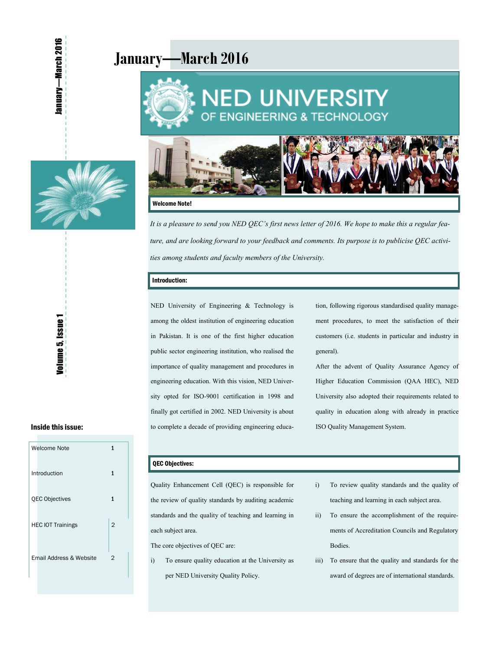# **January—March 2016**





lanuary—March 2016



#### Welcome Note!

*It is a pleasure to send you NED QEC's first news letter of 2016. We hope to make this a regular feature, and are looking forward to your feedback and comments. Its purpose is to publicise QEC activities among students and faculty members of the University.* 

#### Introduction:

NED University of Engineering & Technology is among the oldest institution of engineering education in Pakistan. It is one of the first higher education public sector engineering institution, who realised the importance of quality management and procedures in engineering education. With this vision, NED University opted for ISO-9001 certification in 1998 and finally got certified in 2002. NED University is about to complete a decade of providing engineering education, following rigorous standardised quality management procedures, to meet the satisfaction of their customers (i.e. students in particular and industry in general).

After the advent of Quality Assurance Agency of Higher Education Commission (QAA HEC), NED University also adopted their requirements related to quality in education along with already in practice ISO Quality Management System.

#### Inside this issue:

| Welcome Note             | 1              |
|--------------------------|----------------|
| Introduction             | 1              |
| <b>QEC Objectives</b>    | 1              |
| <b>HEC IOT Trainings</b> | $\overline{2}$ |
| Email Address & Website  | 2              |

#### QEC Objectives:

Quality Enhancement Cell (QEC) is responsible for the review of quality standards by auditing academic standards and the quality of teaching and learning in each subject area.

The core objectives of QEC are:

- i) To ensure quality education at the University as per NED University Quality Policy.
- i) To review quality standards and the quality of teaching and learning in each subject area.
- ii) To ensure the accomplishment of the requirements of Accreditation Councils and Regulatory Bodies.
- iii) To ensure that the quality and standards for the award of degrees are of international standards.